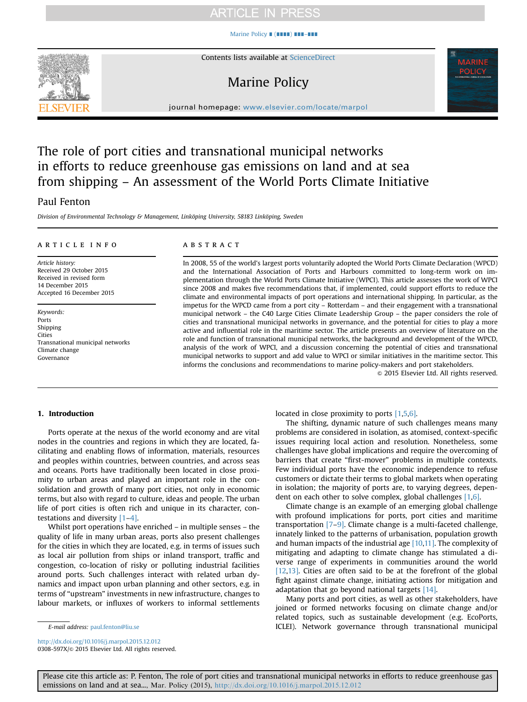[Marine Policy](http://dx.doi.org/10.1016/j.marpol.2015.12.012) ∎ (∎∎∎∎) ∎∎∎–∎∎∎



Contents lists available at [ScienceDirect](www.sciencedirect.com/science/journal/0308597X)

## Marine Policy



journal homepage: <www.elsevier.com/locate/marpol>

# The role of port cities and transnational municipal networks in efforts to reduce greenhouse gas emissions on land and at sea from shipping – An assessment of the World Ports Climate Initiative

## Paul Fenton

Division of Environmental Technology & Management, Linköping University, 58183 Linköping, Sweden

#### article info

Article history: Received 29 October 2015 Received in revised form 14 December 2015 Accepted 16 December 2015

Keywords: Ports Shipping Cities Transnational municipal networks Climate change Governance

### **ABSTRACT**

In 2008, 55 of the world's largest ports voluntarily adopted the World Ports Climate Declaration (WPCD) and the International Association of Ports and Harbours committed to long-term work on implementation through the World Ports Climate Initiative (WPCI). This article assesses the work of WPCI since 2008 and makes five recommendations that, if implemented, could support efforts to reduce the climate and environmental impacts of port operations and international shipping. In particular, as the impetus for the WPCD came from a port city – Rotterdam – and their engagement with a transnational municipal network – the C40 Large Cities Climate Leadership Group – the paper considers the role of cities and transnational municipal networks in governance, and the potential for cities to play a more active and influential role in the maritime sector. The article presents an overview of literature on the role and function of transnational municipal networks, the background and development of the WPCD, analysis of the work of WPCI, and a discussion concerning the potential of cities and transnational municipal networks to support and add value to WPCI or similar initiatives in the maritime sector. This informs the conclusions and recommendations to marine policy-makers and port stakeholders.

 $@$  2015 Elsevier Ltd. All rights reserved.

## 1. Introduction

Ports operate at the nexus of the world economy and are vital nodes in the countries and regions in which they are located, facilitating and enabling flows of information, materials, resources and peoples within countries, between countries, and across seas and oceans. Ports have traditionally been located in close proximity to urban areas and played an important role in the consolidation and growth of many port cities, not only in economic terms, but also with regard to culture, ideas and people. The urban life of port cities is often rich and unique in its character, contestations and diversity [\[1](#page-5-0)–[4\].](#page-5-0)

Whilst port operations have enriched – in multiple senses – the quality of life in many urban areas, ports also present challenges for the cities in which they are located, e.g. in terms of issues such as local air pollution from ships or inland transport, traffic and congestion, co-location of risky or polluting industrial facilities around ports. Such challenges interact with related urban dynamics and impact upon urban planning and other sectors, e.g. in terms of "upstream" investments in new infrastructure, changes to labour markets, or influxes of workers to informal settlements

<http://dx.doi.org/10.1016/j.marpol.2015.12.012> 0308-597X/@ 2015 Elsevier Ltd. All rights reserved. located in close proximity to ports [\[1](#page-5-0),[5,6\]](#page-5-0).

The shifting, dynamic nature of such challenges means many problems are considered in isolation, as atomised, context-specific issues requiring local action and resolution. Nonetheless, some challenges have global implications and require the overcoming of barriers that create "first-mover" problems in multiple contexts. Few individual ports have the economic independence to refuse customers or dictate their terms to global markets when operating in isolation; the majority of ports are, to varying degrees, dependent on each other to solve complex, global challenges [\[1,6\]](#page-5-0).

Climate change is an example of an emerging global challenge with profound implications for ports, port cities and maritime transportation [\[7](#page-5-0)–[9\].](#page-5-0) Climate change is a multi-faceted challenge, innately linked to the patterns of urbanisation, population growth and human impacts of the industrial age [\[10,11\]](#page-5-0). The complexity of mitigating and adapting to climate change has stimulated a diverse range of experiments in communities around the world [\[12,13\]](#page-5-0). Cities are often said to be at the forefront of the global fight against climate change, initiating actions for mitigation and adaptation that go beyond national targets  $[14]$ .

Many ports and port cities, as well as other stakeholders, have joined or formed networks focusing on climate change and/or related topics, such as sustainable development (e.g. EcoPorts, ICLEI). Network governance through transnational municipal

E-mail address: [paul.fenton@liu.se](mailto:paul.fenton@liu.se)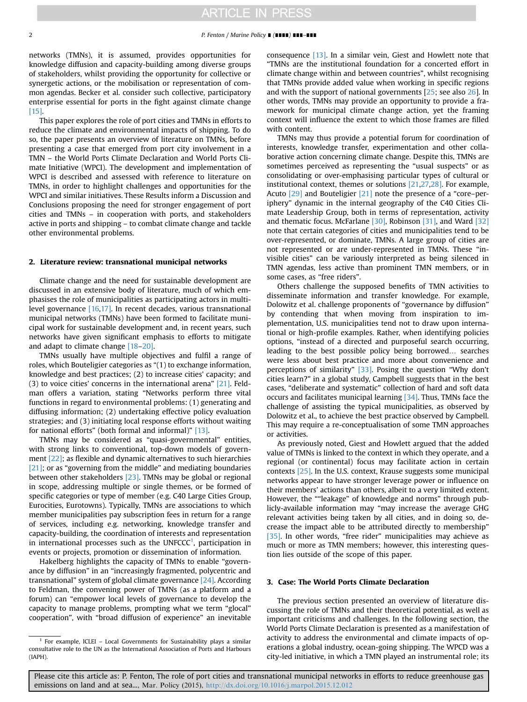#### 2 P. Fenton / Marine Policy ∎ (∎∎∎∎) ∎∎∎–∎∎∎

networks (TMNs), it is assumed, provides opportunities for knowledge diffusion and capacity-building among diverse groups of stakeholders, whilst providing the opportunity for collective or synergetic actions, or the mobilisation or representation of common agendas. Becker et al. consider such collective, participatory enterprise essential for ports in the fight against climate change [\[15\].](#page-5-0)

This paper explores the role of port cities and TMNs in efforts to reduce the climate and environmental impacts of shipping. To do so, the paper presents an overview of literature on TMNs, before presenting a case that emerged from port city involvement in a TMN – the World Ports Climate Declaration and World Ports Climate Initiative (WPCI). The development and implementation of WPCI is described and assessed with reference to literature on TMNs, in order to highlight challenges and opportunities for the WPCI and similar initiatives. These Results inform a Discussion and Conclusions proposing the need for stronger engagement of port cities and TMNs – in cooperation with ports, and stakeholders active in ports and shipping – to combat climate change and tackle other environmental problems.

#### 2. Literature review: transnational municipal networks

Climate change and the need for sustainable development are discussed in an extensive body of literature, much of which emphasises the role of municipalities as participating actors in multilevel governance [\[16](#page-5-0),[17\].](#page-5-0) In recent decades, various transnational municipal networks (TMNs) have been formed to facilitate municipal work for sustainable development and, in recent years, such networks have given significant emphasis to efforts to mitigate and adapt to climate change [\[18](#page-5-0)–[20\]](#page-5-0).

TMNs usually have multiple objectives and fulfil a range of roles, which Bouteligier categories as "(1) to exchange information, knowledge and best practices; (2) to increase cities' capacity; and (3) to voice cities' concerns in the international arena"  $[21]$ . Feldman offers a variation, stating "Networks perform three vital functions in regard to environmental problems: (1) generating and diffusing information; (2) undertaking effective policy evaluation strategies; and (3) initiating local response efforts without waiting for national efforts" (both formal and informal)" [\[13\]](#page-5-0).

TMNs may be considered as "quasi-governmental" entities, with strong links to conventional, top-down models of government [\[22\]](#page-5-0); as flexible and dynamic alternatives to such hierarchies [\[21\];](#page-5-0) or as "governing from the middle" and mediating boundaries between other stakeholders [\[23\]](#page-5-0). TMNs may be global or regional in scope, addressing multiple or single themes, or be formed of specific categories or type of member (e.g. C40 Large Cities Group, Eurocities, Eurotowns). Typically, TMNs are associations to which member municipalities pay subscription fees in return for a range of services, including e.g. networking, knowledge transfer and capacity-building, the coordination of interests and representation in international processes such as the UNFCCC<sup>1</sup>, participation in events or projects, promotion or dissemination of information.

Hakelberg highlights the capacity of TMNs to enable "governance by diffusion" in an "increasingly fragmented, polycentric and transnational" system of global climate governance [\[24\].](#page-5-0) According to Feldman, the convening power of TMNs (as a platform and a forum) can "empower local levels of governance to develop the capacity to manage problems, prompting what we term "glocal" cooperation", with "broad diffusion of experience" an inevitable consequence [\[13\].](#page-5-0) In a similar vein, Giest and Howlett note that "TMNs are the institutional foundation for a concerted effort in climate change within and between countries", whilst recognising that TMNs provide added value when working in specific regions and with the support of national governments [\[25;](#page-5-0) see also [26](#page-5-0)]. In other words, TMNs may provide an opportunity to provide a framework for municipal climate change action, yet the framing context will influence the extent to which those frames are filled with content.

TMNs may thus provide a potential forum for coordination of interests, knowledge transfer, experimentation and other collaborative action concerning climate change. Despite this, TMNs are sometimes perceived as representing the "usual suspects" or as consolidating or over-emphasising particular types of cultural or institutional context, themes or solutions [\[21,27](#page-5-0),[28\]](#page-5-0). For example, Acuto [\[29\]](#page-5-0) and Bouteligier [\[21\]](#page-5-0) note the presence of a "core-periphery" dynamic in the internal geography of the C40 Cities Climate Leadership Group, both in terms of representation, activity and thematic focus. McFarlane  $[30]$ , Robinson  $[31]$ , and Ward  $[32]$ note that certain categories of cities and municipalities tend to be over-represented, or dominate, TMNs. A large group of cities are not represented or are under-represented in TMNs. These "invisible cities" can be variously interpreted as being silenced in TMN agendas, less active than prominent TMN members, or in some cases, as "free riders".

Others challenge the supposed benefits of TMN activities to disseminate information and transfer knowledge. For example, Dolowitz et al. challenge proponents of "governance by diffusion" by contending that when moving from inspiration to implementation, U.S. municipalities tend not to draw upon international or high-profile examples. Rather, when identifying policies options, "instead of a directed and purposeful search occurring, leading to the best possible policy being borrowed… searches were less about best practice and more about convenience and perceptions of similarity" [\[33\]](#page-5-0). Posing the question "Why don't cities learn?" in a global study, Campbell suggests that in the best cases, "deliberate and systematic" collection of hard and soft data occurs and facilitates municipal learning [\[34\]](#page-5-0). Thus, TMNs face the challenge of assisting the typical municipalities, as observed by Dolowitz et al., to achieve the best practice observed by Campbell. This may require a re-conceptualisation of some TMN approaches or activities.

As previously noted, Giest and Howlett argued that the added value of TMNs is linked to the context in which they operate, and a regional (or continental) focus may facilitate action in certain contexts [\[25\]](#page-5-0). In the U.S. context, Krause suggests some municipal networks appear to have stronger leverage power or influence on their members' actions than others, albeit to a very limited extent. However, the ""leakage" of knowledge and norms" through publicly-available information may "may increase the average GHG relevant activities being taken by all cities, and in doing so, decrease the impact able to be attributed directly to membership" [\[35\].](#page-5-0) In other words, "free rider" municipalities may achieve as much or more as TMN members; however, this interesting question lies outside of the scope of this paper.

#### 3. Case: The World Ports Climate Declaration

The previous section presented an overview of literature discussing the role of TMNs and their theoretical potential, as well as important criticisms and challenges. In the following section, the World Ports Climate Declaration is presented as a manifestation of activity to address the environmental and climate impacts of operations a global industry, ocean-going shipping. The WPCD was a city-led initiative, in which a TMN played an instrumental role; its

<sup>1</sup> For example, ICLEI – Local Governments for Sustainability plays a similar consultative role to the UN as the International Association of Ports and Harbours (IAPH).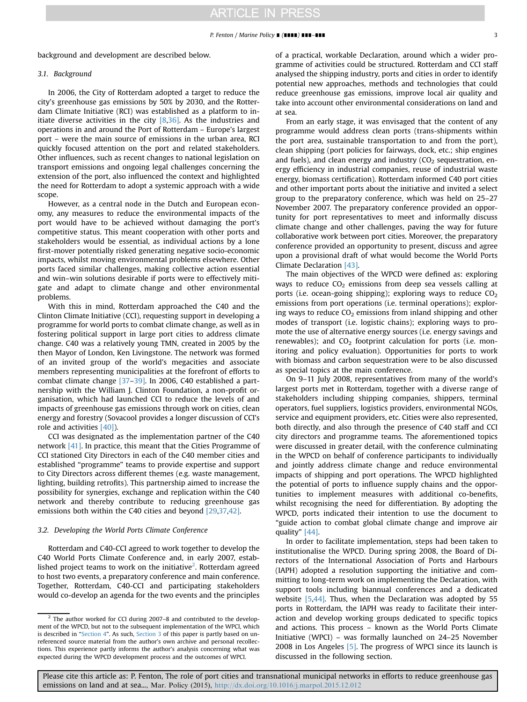background and development are described below.

### 3.1. Background

In 2006, the City of Rotterdam adopted a target to reduce the city's greenhouse gas emissions by 50% by 2030, and the Rotterdam Climate Initiative (RCI) was established as a platform to initiate diverse activities in the city  $[8,36]$ . As the industries and operations in and around the Port of Rotterdam – Europe's largest port – were the main source of emissions in the urban area, RCI quickly focused attention on the port and related stakeholders. Other influences, such as recent changes to national legislation on transport emissions and ongoing legal challenges concerning the extension of the port, also influenced the context and highlighted the need for Rotterdam to adopt a systemic approach with a wide scope.

However, as a central node in the Dutch and European economy, any measures to reduce the environmental impacts of the port would have to be achieved without damaging the port's competitive status. This meant cooperation with other ports and stakeholders would be essential, as individual actions by a lone first-mover potentially risked generating negative socio-economic impacts, whilst moving environmental problems elsewhere. Other ports faced similar challenges, making collective action essential and win–win solutions desirable if ports were to effectively mitigate and adapt to climate change and other environmental problems.

With this in mind, Rotterdam approached the C40 and the Clinton Climate Initiative (CCI), requesting support in developing a programme for world ports to combat climate change, as well as in fostering political support in large port cities to address climate change. C40 was a relatively young TMN, created in 2005 by the then Mayor of London, Ken Livingstone. The network was formed of an invited group of the world's megacities and associate members representing municipalities at the forefront of efforts to combat climate change [\[37](#page-5-0)–[39\]](#page-6-0). In 2006, C40 established a partnership with the William J. Clinton Foundation, a non-profit organisation, which had launched CCI to reduce the levels of and impacts of greenhouse gas emissions through work on cities, clean energy and forestry (Sovacool provides a longer discussion of CCI's role and activities [\[40\]\)](#page-6-0).

CCI was designated as the implementation partner of the C40 network [\[41\].](#page-6-0) In practice, this meant that the Cities Programme of CCI stationed City Directors in each of the C40 member cities and established "programme" teams to provide expertise and support to City Directors across different themes (e.g. waste management, lighting, building retrofits). This partnership aimed to increase the possibility for synergies, exchange and replication within the C40 network and thereby contribute to reducing greenhouse gas emissions both within the C40 cities and beyond [\[29,37,](#page-5-0)[42\].](#page-6-0)

#### 3.2. Developing the World Ports Climate Conference

Rotterdam and C40-CCI agreed to work together to develop the C40 World Ports Climate Conference and, in early 2007, established project teams to work on the initiative<sup>2</sup>. Rotterdam agreed to host two events, a preparatory conference and main conference. Together, Rotterdam, C40-CCI and participating stakeholders would co-develop an agenda for the two events and the principles of a practical, workable Declaration, around which a wider programme of activities could be structured. Rotterdam and CCI staff analysed the shipping industry, ports and cities in order to identify potential new approaches, methods and technologies that could reduce greenhouse gas emissions, improve local air quality and take into account other environmental considerations on land and at sea.

From an early stage, it was envisaged that the content of any programme would address clean ports (trans-shipments within the port area, sustainable transportation to and from the port), clean shipping (port policies for fairways, dock, etc.; ship engines and fuels), and clean energy and industry  $(CO<sub>2</sub>$  sequestration, energy efficiency in industrial companies, reuse of industrial waste energy, biomass certification). Rotterdam informed C40 port cities and other important ports about the initiative and invited a select group to the preparatory conference, which was held on 25–27 November 2007. The preparatory conference provided an opportunity for port representatives to meet and informally discuss climate change and other challenges, paving the way for future collaborative work between port cities. Moreover, the preparatory conference provided an opportunity to present, discuss and agree upon a provisional draft of what would become the World Ports Climate Declaration [\[43\].](#page-6-0)

The main objectives of the WPCD were defined as: exploring ways to reduce  $CO<sub>2</sub>$  emissions from deep sea vessels calling at ports (i.e. ocean-going shipping); exploring ways to reduce  $CO<sub>2</sub>$ emissions from port operations (i.e. terminal operations); exploring ways to reduce  $CO<sub>2</sub>$  emissions from inland shipping and other modes of transport (i.e. logistic chains); exploring ways to promote the use of alternative energy sources (i.e. energy savings and renewables); and  $CO<sub>2</sub>$  footprint calculation for ports (i.e. monitoring and policy evaluation). Opportunities for ports to work with biomass and carbon sequestration were to be also discussed as special topics at the main conference.

On 9–11 July 2008, representatives from many of the world's largest ports met in Rotterdam, together with a diverse range of stakeholders including shipping companies, shippers, terminal operators, fuel suppliers, logistics providers, environmental NGOs, service and equipment providers, etc. Cities were also represented, both directly, and also through the presence of C40 staff and CCI city directors and programme teams. The aforementioned topics were discussed in greater detail, with the conference culminating in the WPCD on behalf of conference participants to individually and jointly address climate change and reduce environmental impacts of shipping and port operations. The WPCD highlighted the potential of ports to influence supply chains and the opportunities to implement measures with additional co-benefits, whilst recognising the need for differentiation. By adopting the WPCD, ports indicated their intention to use the document to "guide action to combat global climate change and improve air quality" [\[44\].](#page-6-0)

In order to facilitate implementation, steps had been taken to institutionalise the WPCD. During spring 2008, the Board of Directors of the International Association of Ports and Harbours (IAPH) adopted a resolution supporting the initiative and committing to long-term work on implementing the Declaration, with support tools including biannual conferences and a dedicated website [\[5,](#page-5-0)[44\]](#page-6-0). Thus, when the Declaration was adopted by 55 ports in Rotterdam, the IAPH was ready to facilitate their interaction and develop working groups dedicated to specific topics and actions. This process – known as the World Ports Climate Initiative (WPCI) – was formally launched on 24–25 November 2008 in Los Angeles [\[5\].](#page-5-0) The progress of WPCI since its launch is discussed in the following section.

 $2$  The author worked for CCI during 2007–8 and contributed to the development of the WPCD, but not to the subsequent implementation of the WPCI, which is described in "[Section 4](#page-3-0)". As such, [Section 3](#page-3-0) of this paper is partly based on unreferenced source material from the author's own archive and personal recollections. This experience partly informs the author's analysis concerning what was expected during the WPCD development process and the outcomes of WPCI.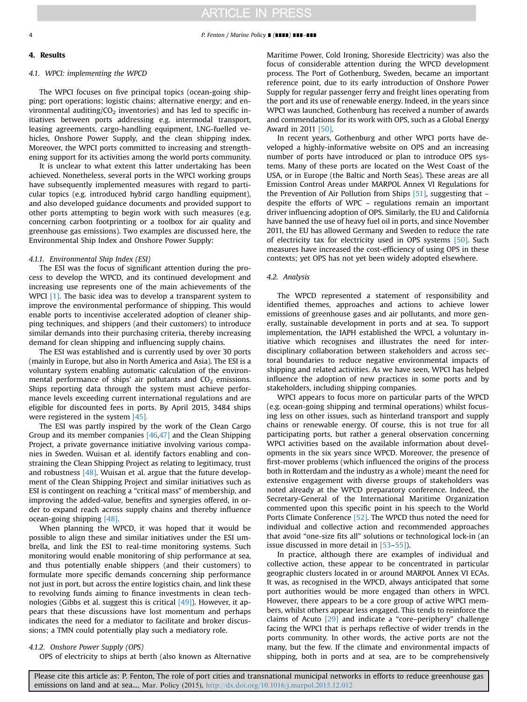<span id="page-3-0"></span>

#### 4 P. Fenton / Marine Policy ∎ (∎∎∎∎) ∎∎∎–∎∎∎

## 4. Results

#### 4.1. WPCI: implementing the WPCD

The WPCI focuses on five principal topics (ocean-going shipping; port operations; logistic chains; alternative energy; and environmental auditing/ $CO<sub>2</sub>$  inventories) and has led to specific initiatives between ports addressing e.g. intermodal transport, leasing agreements, cargo-handling equipment, LNG-fuelled vehicles, Onshore Power Supply, and the clean shipping index. Moreover, the WPCI ports committed to increasing and strengthening support for its activities among the world ports community.

It is unclear to what extent this latter undertaking has been achieved. Nonetheless, several ports in the WPCI working groups have subsequently implemented measures with regard to particular topics (e.g. introduced hybrid cargo handling equipment), and also developed guidance documents and provided support to other ports attempting to begin work with such measures (e.g. concerning carbon footprinting or a toolbox for air quality and greenhouse gas emissions). Two examples are discussed here, the Environmental Ship Index and Onshore Power Supply:

#### 4.1.1. Environmental Ship Index (ESI)

The ESI was the focus of significant attention during the process to develop the WPCD, and its continued development and increasing use represents one of the main achievements of the WPCI [\[1\]](#page-5-0). The basic idea was to develop a transparent system to improve the environmental performance of shipping. This would enable ports to incentivise accelerated adoption of cleaner shipping techniques, and shippers (and their customers) to introduce similar demands into their purchasing criteria, thereby increasing demand for clean shipping and influencing supply chains.

The ESI was established and is currently used by over 30 ports (mainly in Europe, but also in North America and Asia). The ESI is a voluntary system enabling automatic calculation of the environmental performance of ships' air pollutants and  $CO<sub>2</sub>$  emissions. Ships reporting data through the system must achieve performance levels exceeding current international regulations and are eligible for discounted fees in ports. By April 2015, 3484 ships were registered in the system [\[45\].](#page-6-0)

The ESI was partly inspired by the work of the Clean Cargo Group and its member companies [\[46](#page-6-0),[47\]](#page-6-0) and the Clean Shipping Project, a private governance initiative involving various companies in Sweden. Wuisan et al. identify factors enabling and constraining the Clean Shipping Project as relating to legitimacy, trust and robustness [\[48\].](#page-6-0) Wuisan et al. argue that the future development of the Clean Shipping Project and similar initiatives such as ESI is contingent on reaching a "critical mass" of membership, and improving the added-value, benefits and synergies offered, in order to expand reach across supply chains and thereby influence ocean-going shipping [\[48\]](#page-6-0).

When planning the WPCD, it was hoped that it would be possible to align these and similar initiatives under the ESI umbrella, and link the ESI to real-time monitoring systems. Such monitoring would enable monitoring of ship performance at sea, and thus potentially enable shippers (and their customers) to formulate more specific demands concerning ship performance not just in port, but across the entire logistics chain, and link these to revolving funds aiming to finance investments in clean technologies (Gibbs et al. suggest this is critical  $[49]$ ). However, it appears that these discussions have lost momentum and perhaps indicates the need for a mediator to facilitate and broker discussions; a TMN could potentially play such a mediatory role.

Maritime Power, Cold Ironing, Shoreside Electricity) was also the focus of considerable attention during the WPCD development process. The Port of Gothenburg, Sweden, became an important reference point, due to its early introduction of Onshore Power Supply for regular passenger ferry and freight lines operating from the port and its use of renewable energy. Indeed, in the years since WPCI was launched, Gothenburg has received a number of awards and commendations for its work with OPS, such as a Global Energy Award in 2011 [\[50\]](#page-6-0).

In recent years, Gothenburg and other WPCI ports have developed a highly-informative website on OPS and an increasing number of ports have introduced or plan to introduce OPS systems. Many of these ports are located on the West Coast of the USA, or in Europe (the Baltic and North Seas). These areas are all Emission Control Areas under MARPOL Annex VI Regulations for the Prevention of Air Pollution from Ships [\[51\],](#page-6-0) suggesting that – despite the efforts of WPC – regulations remain an important driver influencing adoption of OPS. Similarly, the EU and California have banned the use of heavy fuel oil in ports, and since November 2011, the EU has allowed Germany and Sweden to reduce the rate of electricity tax for electricity used in OPS systems [\[50\].](#page-6-0) Such measures have increased the cost-efficiency of using OPS in these contexts; yet OPS has not yet been widely adopted elsewhere.

### 4.2. Analysis

The WPCD represented a statement of responsibility and identified themes, approaches and actions to achieve lower emissions of greenhouse gases and air pollutants, and more generally, sustainable development in ports and at sea. To support implementation, the IAPH established the WPCI, a voluntary initiative which recognises and illustrates the need for interdisciplinary collaboration between stakeholders and across sectoral boundaries to reduce negative environmental impacts of shipping and related activities. As we have seen, WPCI has helped influence the adoption of new practices in some ports and by stakeholders, including shipping companies.

WPCI appears to focus more on particular parts of the WPCD (e.g. ocean-going shipping and terminal operations) whilst focusing less on other issues, such as hinterland transport and supply chains or renewable energy. Of course, this is not true for all participating ports, but rather a general observation concerning WPCI activities based on the available information about developments in the six years since WPCD. Moreover, the presence of first-mover problems (which influenced the origins of the process both in Rotterdam and the industry as a whole) meant the need for extensive engagement with diverse groups of stakeholders was noted already at the WPCD preparatory conference. Indeed, the Secretary-General of the International Maritime Organization commented upon this specific point in his speech to the World Ports Climate Conference [\[52\]](#page-6-0). The WPCD thus noted the need for individual and collective action and recommended approaches that avoid "one-size fits all" solutions or technological lock-in (an issue discussed in more detail in [\[53](#page-6-0)–[55\]](#page-6-0)).

In practice, although there are examples of individual and collective action, these appear to be concentrated in particular geographic clusters located in or around MARPOL Annex VI ECAs. It was, as recognised in the WPCD, always anticipated that some port authorities would be more engaged than others in WPCI. However, there appears to be a core group of active WPCI members, whilst others appear less engaged. This tends to reinforce the claims of Acuto [\[29\]](#page-5-0) and indicate a "core–periphery" challenge facing the WPCI that is perhaps reflective of wider trends in the ports community. In other words, the active ports are not the many, but the few. If the climate and environmental impacts of shipping, both in ports and at sea, are to be comprehensively

## 4.1.2. Onshore Power Supply (OPS)

OPS of electricity to ships at berth (also known as Alternative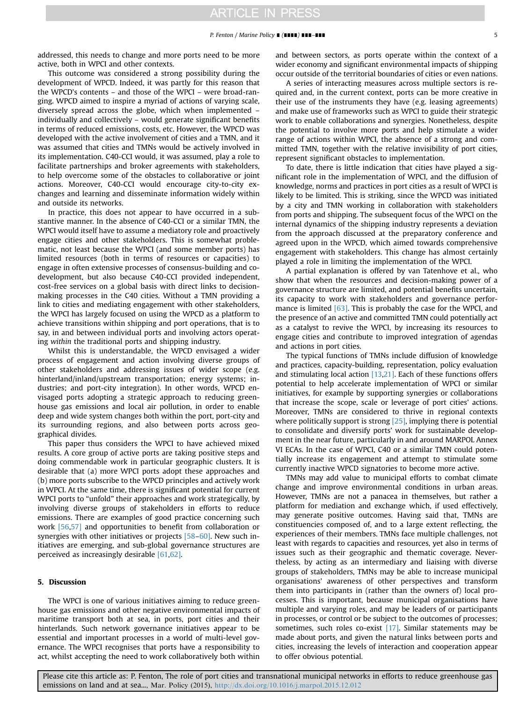addressed, this needs to change and more ports need to be more active, both in WPCI and other contexts.

This outcome was considered a strong possibility during the development of WPCD. Indeed, it was partly for this reason that the WPCD's contents – and those of the WPCI – were broad-ranging. WPCD aimed to inspire a myriad of actions of varying scale, diversely spread across the globe, which when implemented – individually and collectively – would generate significant benefits in terms of reduced emissions, costs, etc. However, the WPCD was developed with the active involvement of cities and a TMN, and it was assumed that cities and TMNs would be actively involved in its implementation. C40-CCI would, it was assumed, play a role to facilitate partnerships and broker agreements with stakeholders, to help overcome some of the obstacles to collaborative or joint actions. Moreover, C40-CCI would encourage city-to-city exchanges and learning and disseminate information widely within and outside its networks.

In practice, this does not appear to have occurred in a substantive manner. In the absence of C40-CCI or a similar TMN, the WPCI would itself have to assume a mediatory role and proactively engage cities and other stakeholders. This is somewhat problematic, not least because the WPCI (and some member ports) has limited resources (both in terms of resources or capacities) to engage in often extensive processes of consensus-building and codevelopment, but also because C40-CCI provided independent, cost-free services on a global basis with direct links to decisionmaking processes in the C40 cities. Without a TMN providing a link to cities and mediating engagement with other stakeholders, the WPCI has largely focused on using the WPCD as a platform to achieve transitions within shipping and port operations, that is to say, in and between individual ports and involving actors operating within the traditional ports and shipping industry.

Whilst this is understandable, the WPCD envisaged a wider process of engagement and action involving diverse groups of other stakeholders and addressing issues of wider scope (e.g. hinterland/inland/upstream transportation; energy systems; industries; and port-city integration). In other words, WPCD envisaged ports adopting a strategic approach to reducing greenhouse gas emissions and local air pollution, in order to enable deep and wide system changes both within the port, port-city and its surrounding regions, and also between ports across geographical divides.

This paper thus considers the WPCI to have achieved mixed results. A core group of active ports are taking positive steps and doing commendable work in particular geographic clusters. It is desirable that (a) more WPCI ports adopt these approaches and (b) more ports subscribe to the WPCD principles and actively work in WPCI. At the same time, there is significant potential for current WPCI ports to "unfold" their approaches and work strategically, by involving diverse groups of stakeholders in efforts to reduce emissions. There are examples of good practice concerning such work [\[56,57\]](#page-6-0) and opportunities to benefit from collaboration or synergies with other initiatives or projects [\[58](#page-6-0)–[60\].](#page-6-0) New such initiatives are emerging, and sub-global governance structures are perceived as increasingly desirable [\[61,62\]](#page-6-0).

## 5. Discussion

The WPCI is one of various initiatives aiming to reduce greenhouse gas emissions and other negative environmental impacts of maritime transport both at sea, in ports, port cities and their hinterlands. Such network governance initiatives appear to be essential and important processes in a world of multi-level governance. The WPCI recognises that ports have a responsibility to act, whilst accepting the need to work collaboratively both within

and between sectors, as ports operate within the context of a wider economy and significant environmental impacts of shipping occur outside of the territorial boundaries of cities or even nations.

A series of interacting measures across multiple sectors is required and, in the current context, ports can be more creative in their use of the instruments they have (e.g. leasing agreements) and make use of frameworks such as WPCI to guide their strategic work to enable collaborations and synergies. Nonetheless, despite the potential to involve more ports and help stimulate a wider range of actions within WPCI, the absence of a strong and committed TMN, together with the relative invisibility of port cities, represent significant obstacles to implementation.

To date, there is little indication that cities have played a significant role in the implementation of WPCI, and the diffusion of knowledge, norms and practices in port cities as a result of WPCI is likely to be limited. This is striking, since the WPCD was initiated by a city and TMN working in collaboration with stakeholders from ports and shipping. The subsequent focus of the WPCI on the internal dynamics of the shipping industry represents a deviation from the approach discussed at the preparatory conference and agreed upon in the WPCD, which aimed towards comprehensive engagement with stakeholders. This change has almost certainly played a role in limiting the implementation of the WPCI.

A partial explanation is offered by van Tatenhove et al., who show that when the resources and decision-making power of a governance structure are limited, and potential benefits uncertain, its capacity to work with stakeholders and governance perfor-mance is limited [\[63\]](#page-6-0). This is probably the case for the WPCI, and the presence of an active and committed TMN could potentially act as a catalyst to revive the WPCI, by increasing its resources to engage cities and contribute to improved integration of agendas and actions in port cities.

The typical functions of TMNs include diffusion of knowledge and practices, capacity-building, representation, policy evaluation and stimulating local action [\[13,21\].](#page-5-0) Each of these functions offers potential to help accelerate implementation of WPCI or similar initiatives, for example by supporting synergies or collaborations that increase the scope, scale or leverage of port cities' actions. Moreover, TMNs are considered to thrive in regional contexts where politically support is strong  $[25]$ , implying there is potential to consolidate and diversify ports' work for sustainable development in the near future, particularly in and around MARPOL Annex VI ECAs. In the case of WPCI, C40 or a similar TMN could potentially increase its engagement and attempt to stimulate some currently inactive WPCD signatories to become more active.

TMNs may add value to municipal efforts to combat climate change and improve environmental conditions in urban areas. However, TMNs are not a panacea in themselves, but rather a platform for mediation and exchange which, if used effectively, may generate positive outcomes. Having said that, TMNs are constituencies composed of, and to a large extent reflecting, the experiences of their members. TMNs face multiple challenges, not least with regards to capacities and resources, yet also in terms of issues such as their geographic and thematic coverage. Nevertheless, by acting as an intermediary and liaising with diverse groups of stakeholders, TMNs may be able to increase municipal organisations' awareness of other perspectives and transform them into participants in (rather than the owners of) local processes. This is important, because municipal organisations have multiple and varying roles, and may be leaders of or participants in processes, or control or be subject to the outcomes of processes; sometimes, such roles co-exist [\[17\].](#page-5-0) Similar statements may be made about ports, and given the natural links between ports and cities, increasing the levels of interaction and cooperation appear to offer obvious potential.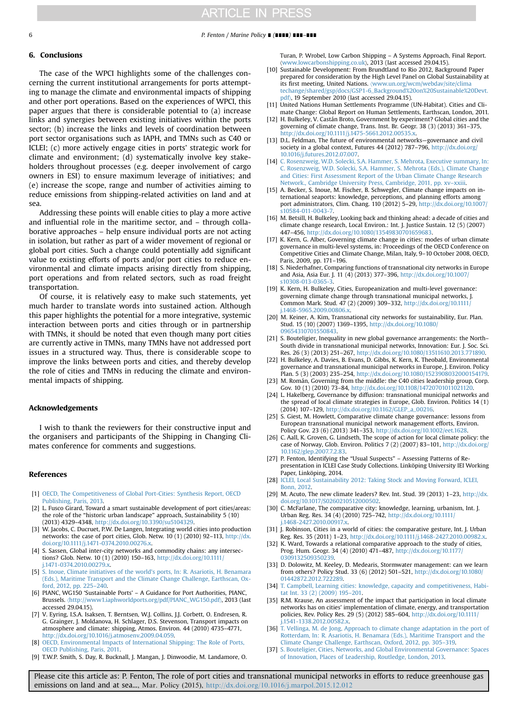### <span id="page-5-0"></span>6 P. Fenton / Marine Policy ∎ (∎∎∎∎) ∎∎∎–∎∎∎

## 6. Conclusions

The case of the WPCI highlights some of the challenges concerning the current institutional arrangements for ports attempting to manage the climate and environmental impacts of shipping and other port operations. Based on the experiences of WPCI, this paper argues that there is considerable potential to (a) increase links and synergies between existing initiatives within the ports sector; (b) increase the links and levels of coordination between port sector organisations such as IAPH, and TMNs such as C40 or ICLEI; (c) more actively engage cities in ports' strategic work for climate and environment; (d) systematically involve key stakeholders throughout processes (e.g. deeper involvement of cargo owners in ESI) to ensure maximum leverage of initiatives; and (e) increase the scope, range and number of activities aiming to reduce emissions from shipping-related activities on land and at sea.

Addressing these points will enable cities to play a more active and influential role in the maritime sector, and – through collaborative approaches – help ensure individual ports are not acting in isolation, but rather as part of a wider movement of regional or global port cities. Such a change could potentially add significant value to existing efforts of ports and/or port cities to reduce environmental and climate impacts arising directly from shipping, port operations and from related sectors, such as road freight transportation.

Of course, it is relatively easy to make such statements, yet much harder to translate words into sustained action. Although this paper highlights the potential for a more integrative, systemic interaction between ports and cities through or in partnership with TMNs, it should be noted that even though many port cities are currently active in TMNs, many TMNs have not addressed port issues in a structured way. Thus, there is considerable scope to improve the links between ports and cities, and thereby develop the role of cities and TMNs in reducing the climate and environmental impacts of shipping.

## Acknowledgements

I wish to thank the reviewers for their constructive input and the organisers and participants of the Shipping in Changing Climates conference for comments and suggestions.

## References

- [1] [OECD, The Competitiveness of Global Port-Cities: Synthesis Report, OECD](http://refhub.elsevier.com/S0308-597X(15)00382-6/sbref1) [Publishing, Paris, 2013.](http://refhub.elsevier.com/S0308-597X(15)00382-6/sbref1)
- [2] L. Fusco Girard, Toward a smart sustainable development of port cities/areas: the role of the "historic urban landscape" approach, Sustainability 5 (10) (2013) 4329–4348, [http://dx.doi.org/10.3390/su5104329.](http://dx.doi.org/10.3390/su5104329)
- [3] W. Jacobs, C. Ducruet, P.W. De Langen, Integrating world cities into production networks: the case of port cities, Glob. Netw. 10 (1) (2010) 92–113, [http://dx.](http://dx.doi.org/10.1111/j.1471-0374.2010.00276.x) [doi.org/10.1111/j.1471-0374.2010.00276.x.](http://dx.doi.org/10.1111/j.1471-0374.2010.00276.x)
- [4] S. Sassen, Global inter-city networks and commodity chains: any intersections? Glob. Netw. 10 (1) (2010) 150–163, [http://dx.doi.org/10.1111/](http://dx.doi.org/10.1111/j.1471-0374.2010.00279.x) [j.1471-0374.2010.00279.x](http://dx.doi.org/10.1111/j.1471-0374.2010.00279.x).
- [5] [S. Inoue, Climate initiatives of the world's ports, In: R. Asariotis, H. Benamara](http://refhub.elsevier.com/S0308-597X(15)00382-6/sbref5) [\(Eds.\), Maritime Transport and the Climate Change Challenge, Earthscan, Ox](http://refhub.elsevier.com/S0308-597X(15)00382-6/sbref5)[ford, 2012, pp. 225](http://refhub.elsevier.com/S0308-597X(15)00382-6/sbref5)–240.
- [6] PIANC, WG150 'Sustainable Ports' A Guidance for Port Authorities, PIANC, Brussels. 〈[http://www1.iaphworldports.org/pdf/PIANC\\_WG150.pdf](http://www1.iaphworldports.org/pdf/PIANC_WG150.pdf)〉, 2013 (last accessed 29.04.15).
- [7] V. Eyring, I.S.A. Isaksen, T. Berntsen, W.J. Collins, J.J. Corbett, O. Endresen, R. G. Grainger, J. Moldanova, H. Schlager, D.S. Stevenson, Transport impacts on atmosphere and climate: shipping, Atmos. Environ. 44 (2010) 4735–4771, <http://dx.doi.org/10.1016/j.atmosenv.2009.04.059>.
- [8] [OECD, Environmental Impacts of International Shipping: The Role of Ports,](http://refhub.elsevier.com/S0308-597X(15)00382-6/sbref7) [OECD Publishing, Paris, 2011.](http://refhub.elsevier.com/S0308-597X(15)00382-6/sbref7)
- [9] T.W.P. Smith, S. Day, R. Bucknall, J. Mangan, J. Dinwoodie, M. Landamore, O.

Turan, P. Wrobel, Low Carbon Shipping – A Systems Approach, Final Report. 〈[www.lowcarbonshipping.co.uk](http://www.lowcarbonshipping.co.uk)〉, 2013 (last accessed 29.04.15).

- [10] Sustainable Development: From Brundtland to Rio 2012, Background Paper prepared for consideration by the High Level Panel on Global Sustainability at its first meeting, United Nations. 〈[www.un.org/wcm/webdav/site/clima](http://www.un.org/wcm/webdav/site/climatechange/shared/gsp/docs/GSP1-6_Background%20on%20Sustainable%20Devt.pdf) [techange/shared/gsp/docs/GSP1-6\\_Background%20on%20Sustainable%20Devt.](http://www.un.org/wcm/webdav/site/climatechange/shared/gsp/docs/GSP1-6_Background%20on%20Sustainable%20Devt.pdf) [pdf](http://www.un.org/wcm/webdav/site/climatechange/shared/gsp/docs/GSP1-6_Background%20on%20Sustainable%20Devt.pdf)), 19 September 2010 (last accessed 29.04.15).
- [11] United Nations Human Settlements Programme (UN-Habitat). Cities and Climate Change: Global Report on Human Settlements, Earthscan, London, 2011.
- [12] H. Bulkeley, V. Castán Broto, Government by experiment? Global cities and the governing of climate change, Trans. Inst. Br. Geogr. 38 (3) (2013) 361–375, [http://dx.doi.org/10.1111/j.1475-5661.2012.00535.x.](http://dx.doi.org/10.1111/j.1475-5661.2012.00535.x)
- [13] D.L. Feldman, The future of environmental networks-governance and civil society in a global context, Futures 44 (2012) 787–796, [http://dx.doi.org/](http://dx.doi.org/10.1016/j.futures.2012.07.007) [10.1016/j.futures.2012.07.007](http://dx.doi.org/10.1016/j.futures.2012.07.007).
- [14] [C. Rosenzweig, W.D. Solecki, S.A. Hammer, S. Mehrota, Executive summary, In:](http://refhub.elsevier.com/S0308-597X(15)00382-6/sbref10) [C. Rosenzweig, W.D. Solecki, S.A. Hammer, S. Mehrota \(Eds.\), Climate Change](http://refhub.elsevier.com/S0308-597X(15)00382-6/sbref10) [and Cities: First Assessment Report of the Urban Climate Change Research](http://refhub.elsevier.com/S0308-597X(15)00382-6/sbref10) [Network., Cambridge University Press, Cambridge, 2011, pp. xv](http://refhub.elsevier.com/S0308-597X(15)00382-6/sbref10)–xxiii.
- [15] A. Becker, S. Inoue, M. Fischer, B. Schwegler, Climate change impacts on international seaports: knowledge, perceptions, and planning efforts among port administrators, Clim. Chang. 110 (2012) 5–29, [http://dx.doi.org/10.1007/](http://dx.doi.org/10.1007/s10584-011-0043-7) s10584-011-0043-'
- [16] M. Betsill, H. Bulkeley, Looking back and thinking ahead: a decade of cities and climate change research, Local Environ.: Int. J. Justice Sustain. 12 (5) (2007) 447–456, <http://dx.doi.org/10.1080/13549830701659683>.
- [17] K. Kern, G. Alber, Governing climate change in cities: modes of urban climate governance in multi-level systems, in: Proceedings of the OECD Conference on Competitive Cities and Climate Change, Milan, Italy, 9–10 October 2008, OECD, Paris, 2009, pp. 171–196.
- [18] S. Niederhafner, Comparing functions of transnational city networks in Europe and Asia, Asia Eur. J. 11 (4) (2013) 377–396, [http://dx.doi.org/10.1007/](http://dx.doi.org/10.1007/s10308-013-0365-3) [s10308-013-0365-3](http://dx.doi.org/10.1007/s10308-013-0365-3)
- [19] K. Kern, H. Bulkeley, Cities, Europeanization and multi-level governance: governing climate change through transnational municipal networks, J. Common Mark. Stud. 47 (2) (2009) 309–332, [http://dx.doi.org/10.1111/](http://dx.doi.org/10.1111/j.1468-5965.2009.00806.x) [j.1468-5965.2009.00806.x.](http://dx.doi.org/10.1111/j.1468-5965.2009.00806.x)
- [20] M. Keiner, A. Kim, Transnational city networks for sustainability, Eur. Plan. Stud. 15 (10) (2007) 1369–1395, [http://dx.doi.org/10.1080/](http://dx.doi.org/10.1080/09654310701550843) [09654310701550843](http://dx.doi.org/10.1080/09654310701550843).
- [21] S. Bouteligier, Inequality in new global governance arrangements: the North-South divide in transnational municipal networks, Innovation: Eur. J. Soc. Sci. Res. 26 (3) (2013) 251–267, <http://dx.doi.org/10.1080/13511610.2013.771890>.
- [22] H. Bulkeley, A. Davies, B. Evans, D. Gibbs, K. Kern, K. Theobald, Environmental governance and transnational municipal networks in Europe, J. Environ. Policy Plan. 5 (3) (2003) 235–254, <http://dx.doi.org/10.1080/1523908032000154179>.
- [23] M. Román, Governing from the middle: the C40 cities leadership group, Corp. Gov. 10 (1) (2010) 73–84, <http://dx.doi.org/10.1108/14720701011021120>.
- [24] L. Hakelberg, Governance by diffusion: transnational municipal networks and the spread of local climate strategies in Europe, Glob. Environ. Politics 14 (1) (2014) 107–129, [http://dx.doi.org/10.1162/GLEP\\_a\\_00216](http://dx.doi.org/10.1162/GLEP_a_00216).
- [25] S. Giest, M. Howlett, Comparative climate change governance: lessons from European transnational municipal network management efforts, Environ. Policy Gov. 23 (6) (2013) 341–353, <http://dx.doi.org/10.1002/eet.1628>.
- [26] C. Aall, K. Groven, G. Lindseth, The scope of action for local climate policy: the case of Norway, Glob. Environ. Politics 7 (2) (2007) 83–101, [http://dx.doi.org/](http://dx.doi.org/10.1162/glep.2007.7.2.83) [10.1162/glep.2007.7.2.83](http://dx.doi.org/10.1162/glep.2007.7.2.83).
- [27] P. Fenton, Identifying the "Usual Suspects" Assessing Patterns of Representation in ICLEI Case Study Collections. Linköping University IEI Working Paper, Linköping, 2014.
- [28] [ICLEI, Local Sustainability 2012: Taking Stock and Moving Forward, ICLEI,](http://refhub.elsevier.com/S0308-597X(15)00382-6/sbref22) [Bonn, 2012.](http://refhub.elsevier.com/S0308-597X(15)00382-6/sbref22)
- [29] M. Acuto, The new climate leaders? Rev. Int. Stud. 39 (2013) 1–23, [http://dx.](http://dx.doi.org/10.1017/S0260210512000502) [doi.org/10.1017/S0260210512000502](http://dx.doi.org/10.1017/S0260210512000502).
- [30] C. McFarlane, The comparative city: knowledge, learning, urbanism, Int. J. Urban Reg. Res. 34 (4) (2010) 725–742, [http://dx.doi.org/10.1111/](http://dx.doi.org/10.1111/j.1468-2427.2010.00917.x) [j.1468-2427.2010.00917.x.](http://dx.doi.org/10.1111/j.1468-2427.2010.00917.x)
- [31] J. Robinson, Cities in a world of cities: the comparative gesture, Int. J. Urban Reg. Res. 35 (2011) 1–23, [http://dx.doi.org/10.1111/j.1468-2427.2010.00982.x.](http://dx.doi.org/10.1111/j.1468-2427.2010.00982.x)
- [32] K. Ward, Towards a relational comparative approach to the study of cities, Prog. Hum. Geogr. 34 (4) (2010) 471–487, [http://dx.doi.org/10.1177/](http://dx.doi.org/10.1177/0309132509350239) [0309132509350239](http://dx.doi.org/10.1177/0309132509350239).
- [33] D. Dolowitz, M. Keeley, D. Medearis, Stormwater management: can we learn from others? Policy Stud. 33 (6) (2012) 501–521, [http://dx.doi.org/10.1080/](http://dx.doi.org/10.1080/01442872.2012.722289) [01442872.2012.722289](http://dx.doi.org/10.1080/01442872.2012.722289).
- [34] [T. Campbell, Learning cities: knowledge, capacity and competitiveness, Habi](http://refhub.elsevier.com/S0308-597X(15)00382-6/sbref28)[tat Int. 33 \(2\) \(2009\) 195](http://refhub.elsevier.com/S0308-597X(15)00382-6/sbref28)–201.
- [35] R.M. Krause, An assessment of the impact that participation in local climate networks has on cities' implementation of climate, energy, and transportation policies, Rev. Policy Res. 29 (5) (2012) 585–604, [http://dx.doi.org/10.1111/](http://dx.doi.org/10.1111/j.1541-1338.2012.00582.x) [j.1541-1338.2012.00582.x](http://dx.doi.org/10.1111/j.1541-1338.2012.00582.x).
- [36] [T. Vellinga, M. de Jong, Approach to climate change adaptation in the port of](http://refhub.elsevier.com/S0308-597X(15)00382-6/sbref30) [Rotterdam, In: R. Asariotis, H. Benamara \(Eds.\), Maritime Transport and the](http://refhub.elsevier.com/S0308-597X(15)00382-6/sbref30) [Climate Change Challenge, Earthscan, Oxford, 2012, pp. 305](http://refhub.elsevier.com/S0308-597X(15)00382-6/sbref30)–319.
- [37] [S. Bouteligier, Cities, Networks, and Global Environmental Governance: Spaces](http://refhub.elsevier.com/S0308-597X(15)00382-6/sbref31) [of Innovation, Places of Leadership, Routledge, London, 2013.](http://refhub.elsevier.com/S0308-597X(15)00382-6/sbref31)